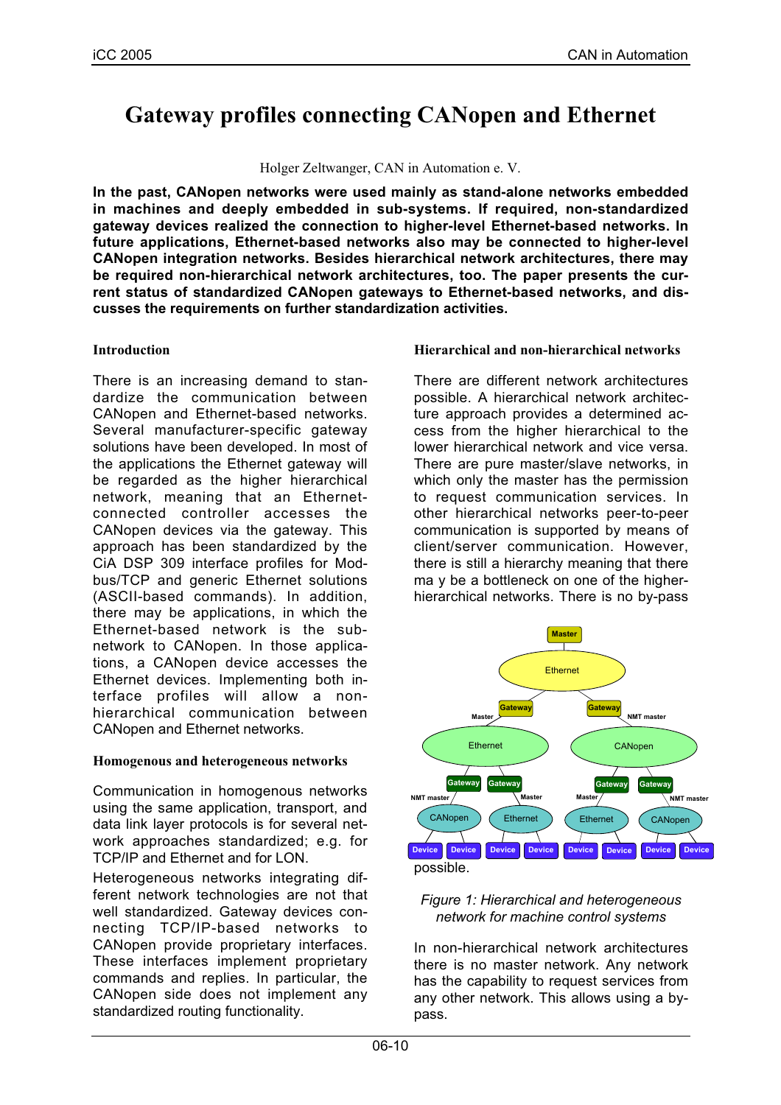# **Gateway profiles connecting CANopen and Ethernet**

#### Holger Zeltwanger, CAN in Automation e. V.

**In the past, CANopen networks were used mainly as stand-alone networks embedded in machines and deeply embedded in sub-systems. If required, non-standardized gateway devices realized the connection to higher-level Ethernet-based networks. In future applications, Ethernet-based networks also may be connected to higher-level CANopen integration networks. Besides hierarchical network architectures, there may be required non-hierarchical network architectures, too. The paper presents the current status of standardized CANopen gateways to Ethernet-based networks, and discusses the requirements on further standardization activities.**

# **Introduction**

There is an increasing demand to standardize the communication between CANopen and Ethernet-based networks. Several manufacturer-specific gateway solutions have been developed. In most of the applications the Ethernet gateway will be regarded as the higher hierarchical network, meaning that an Ethernetconnected controller accesses the CANopen devices via the gateway. This approach has been standardized by the CiA DSP 309 interface profiles for Modbus/TCP and generic Ethernet solutions (ASCII-based commands). In addition, there may be applications, in which the Ethernet-based network is the subnetwork to CANopen. In those applications, a CANopen device accesses the Ethernet devices. Implementing both interface profiles will allow a nonhierarchical communication between CANopen and Ethernet networks.

# **Homogenous and heterogeneous networks**

Communication in homogenous networks using the same application, transport, and data link layer protocols is for several network approaches standardized; e.g. for TCP/IP and Ethernet and for LON.

Heterogeneous networks integrating different network technologies are not that well standardized. Gateway devices connecting TCP/IP-based networks to CANopen provide proprietary interfaces. These interfaces implement proprietary commands and replies. In particular, the CANopen side does not implement any standardized routing functionality.

# **Hierarchical and non-hierarchical networks**

There are different network architectures possible. A hierarchical network architecture approach provides a determined access from the higher hierarchical to the lower hierarchical network and vice versa. There are pure master/slave networks, in which only the master has the permission to request communication services. In other hierarchical networks peer-to-peer communication is supported by means of client/server communication. However, there is still a hierarchy meaning that there ma y be a bottleneck on one of the higherhierarchical networks. There is no by-pass



## *Figure 1: Hierarchical and heterogeneous network for machine control systems*

In non-hierarchical network architectures there is no master network. Any network has the capability to request services from any other network. This allows using a bypass.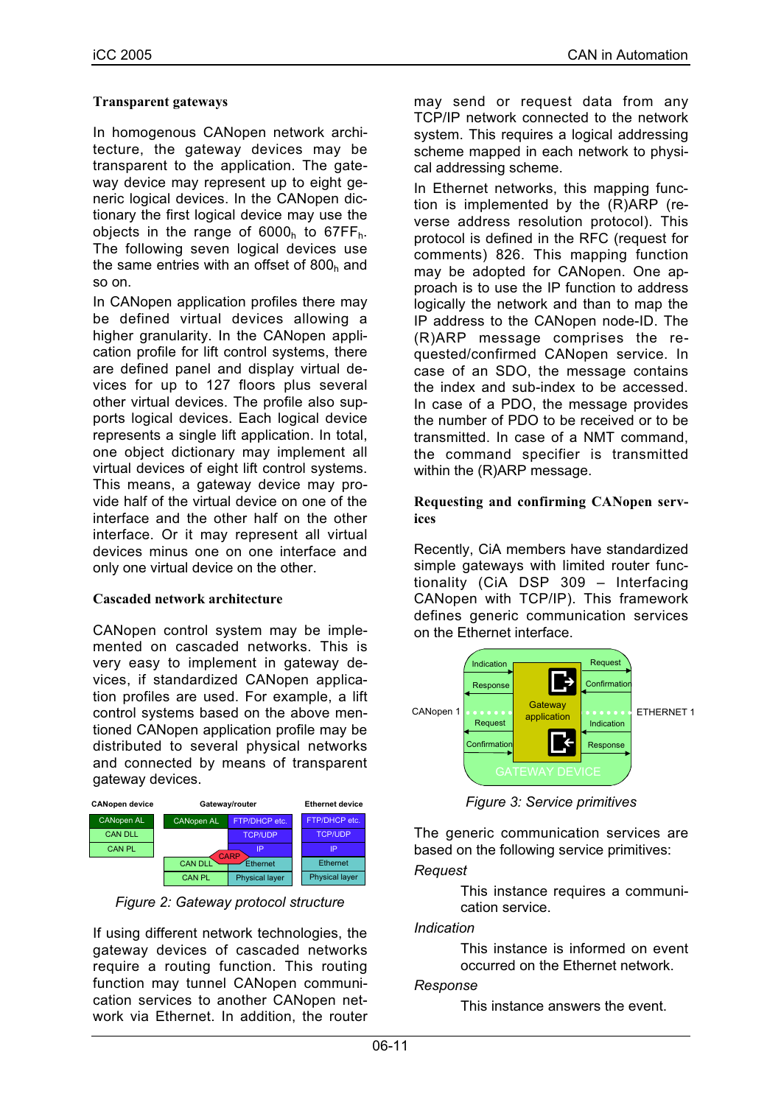# **Transparent gateways**

In homogenous CANopen network architecture, the gateway devices may be transparent to the application. The gateway device may represent up to eight generic logical devices. In the CANopen dictionary the first logical device may use the objects in the range of  $6000<sub>h</sub>$  to  $67FF<sub>h</sub>$ . The following seven logical devices use the same entries with an offset of  $800<sub>h</sub>$  and so on.

In CANopen application profiles there may be defined virtual devices allowing a higher granularity. In the CANopen application profile for lift control systems, there are defined panel and display virtual devices for up to 127 floors plus several other virtual devices. The profile also supports logical devices. Each logical device represents a single lift application. In total, one object dictionary may implement all virtual devices of eight lift control systems. This means, a gateway device may provide half of the virtual device on one of the interface and the other half on the other interface. Or it may represent all virtual devices minus one on one interface and only one virtual device on the other.

# **Cascaded network architecture**

CANopen control system may be implemented on cascaded networks. This is very easy to implement in gateway devices, if standardized CANopen application profiles are used. For example, a lift control systems based on the above mentioned CANopen application profile may be distributed to several physical networks and connected by means of transparent gateway devices.



*Figure 2: Gateway protocol structure*

If using different network technologies, the gateway devices of cascaded networks require a routing function. This routing function may tunnel CANopen communication services to another CANopen network via Ethernet. In addition, the router may send or request data from any TCP/IP network connected to the network system. This requires a logical addressing scheme mapped in each network to physical addressing scheme.

In Ethernet networks, this mapping function is implemented by the (R)ARP (reverse address resolution protocol). This protocol is defined in the RFC (request for comments) 826. This mapping function may be adopted for CANopen. One approach is to use the IP function to address logically the network and than to map the IP address to the CANopen node-ID. The (R)ARP message comprises the requested/confirmed CANopen service. In case of an SDO, the message contains the index and sub-index to be accessed. In case of a PDO, the message provides the number of PDO to be received or to be transmitted. In case of a NMT command, the command specifier is transmitted within the (R)ARP message.

# **Requesting and confirming CANopen services**

Recently, CiA members have standardized simple gateways with limited router functionality (CiA DSP 309 – Interfacing CANopen with TCP/IP). This framework defines generic communication services on the Ethernet interface.



*Figure 3: Service primitives*

The generic communication services are based on the following service primitives:

# *Request*

This instance requires a communication service.

# *Indication*

This instance is informed on event occurred on the Ethernet network.

# *Response*

This instance answers the event.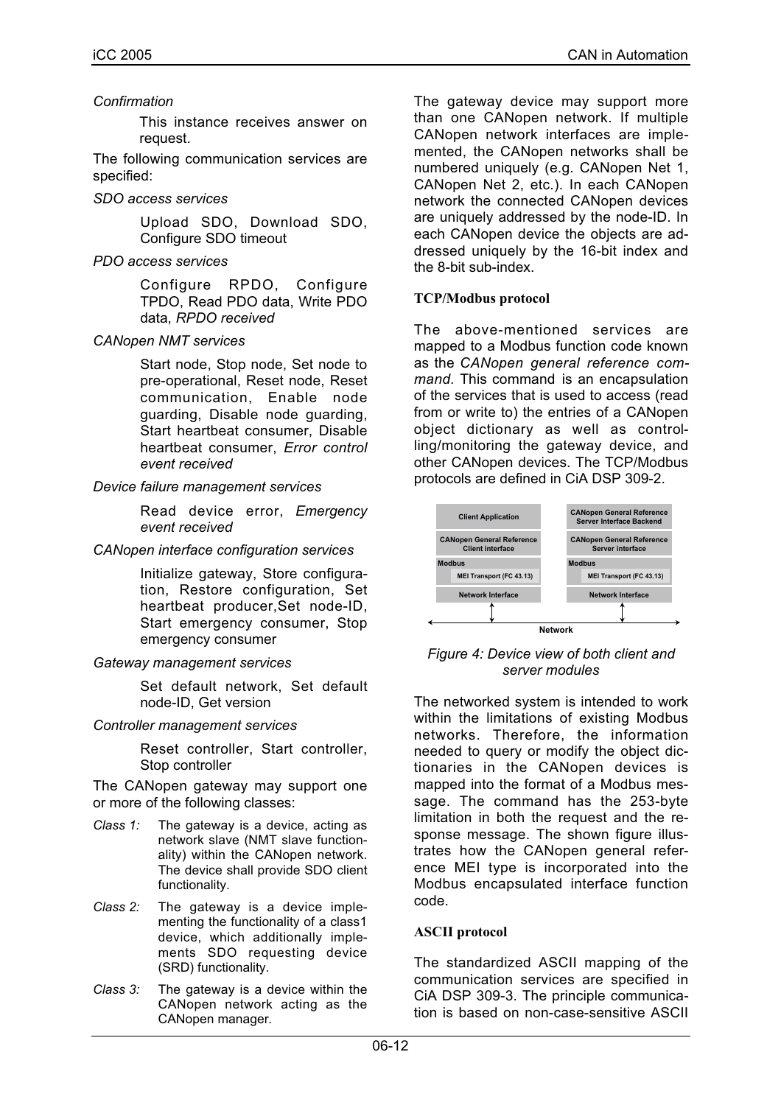# *Confirmation*

This instance receives answer on request.

The following communication services are specified:

*SDO access services*

Upload SDO, Download SDO, Configure SDO timeout

*PDO access services*

Configure RPDO, Configure TPDO, Read PDO data, Write PDO data, *RPDO received*

*CANopen NMT services*

Start node, Stop node, Set node to pre-operational, Reset node, Reset communication, Enable node guarding, Disable node guarding, Start heartbeat consumer, Disable heartbeat consumer, *Error control event received*

*Device failure management services*

Read device error, *Emergency event received*

*CANopen interface configuration services*

Initialize gateway, Store configuration, Restore configuration, Set heartbeat producer,Set node-ID, Start emergency consumer, Stop emergency consumer

*Gateway management services*

Set default network, Set default node-ID, Get version

*Controller management services*

Reset controller, Start controller, Stop controller

The CANopen gateway may support one or more of the following classes:

- *Class 1:* The gateway is a device, acting as network slave (NMT slave functionality) within the CANopen network. The device shall provide SDO client functionality.
- *Class 2:* The gateway is a device implementing the functionality of a class1 device, which additionally implements SDO requesting device (SRD) functionality.
- *Class 3:* The gateway is a device within the CANopen network acting as the CANopen manager*.*

The gateway device may support more than one CANopen network. If multiple CANopen network interfaces are implemented, the CANopen networks shall be numbered uniquely (e.g. CANopen Net 1, CANopen Net 2, etc.). In each CANopen network the connected CANopen devices are uniquely addressed by the node-ID. In each CANopen device the objects are addressed uniquely by the 16-bit index and the 8-bit sub-index.

# **TCP/Modbus protocol**

The above-mentioned services are mapped to a Modbus function code known as the *CANopen general reference command.* This command is an encapsulation of the services that is used to access (read from or write to) the entries of a CANopen object dictionary as well as controlling/monitoring the gateway device, and other CANopen devices. The TCP/Modbus protocols are defined in CiA DSP 309-2.



*Figure 4: Device view of both client and server modules*

The networked system is intended to work within the limitations of existing Modbus networks. Therefore, the information needed to query or modify the object dictionaries in the CANopen devices is mapped into the format of a Modbus message. The command has the 253-byte limitation in both the request and the response message. The shown figure illustrates how the CANopen general reference MEI type is incorporated into the Modbus encapsulated interface function code.

# **ASCII protocol**

The standardized ASCII mapping of the communication services are specified in CiA DSP 309-3. The principle communication is based on non-case-sensitive ASCII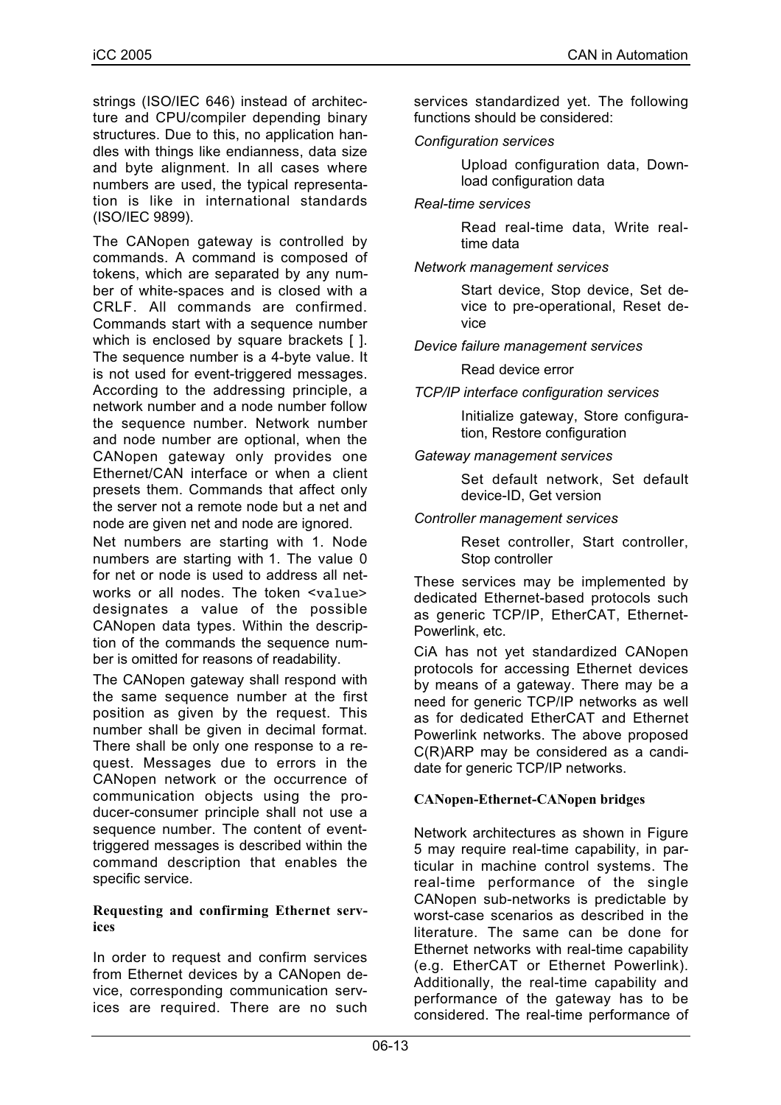strings (ISO/IEC 646) instead of architecture and CPU/compiler depending binary structures. Due to this, no application handles with things like endianness, data size and byte alignment. In all cases where numbers are used, the typical representation is like in international standards (ISO/IEC 9899).

The CANopen gateway is controlled by commands. A command is composed of tokens, which are separated by any number of white-spaces and is closed with a CRLF. All commands are confirmed. Commands start with a sequence number which is enclosed by square brackets [ ]. The sequence number is a 4-byte value. It is not used for event-triggered messages. According to the addressing principle, a network number and a node number follow the sequence number. Network number and node number are optional, when the CANopen gateway only provides one Ethernet/CAN interface or when a client presets them. Commands that affect only the server not a remote node but a net and node are given net and node are ignored.

Net numbers are starting with 1. Node numbers are starting with 1. The value 0 for net or node is used to address all networks or all nodes. The token <value> designates a value of the possible CANopen data types. Within the description of the commands the sequence number is omitted for reasons of readability.

The CANopen gateway shall respond with the same sequence number at the first position as given by the request. This number shall be given in decimal format. There shall be only one response to a request. Messages due to errors in the CANopen network or the occurrence of communication objects using the producer-consumer principle shall not use a sequence number. The content of eventtriggered messages is described within the command description that enables the specific service.

## **Requesting and confirming Ethernet services**

In order to request and confirm services from Ethernet devices by a CANopen device, corresponding communication services are required. There are no such services standardized yet. The following functions should be considered:

# *Configuration services*

Upload configuration data, Download configuration data

# *Real-time services*

Read real-time data, Write realtime data

#### *Network management services*

Start device, Stop device, Set device to pre-operational, Reset device

*Device failure management services*

## Read device error

*TCP/IP interface configuration services*

Initialize gateway, Store configuration, Restore configuration

## *Gateway management services*

Set default network, Set default device-ID, Get version

## *Controller management services*

Reset controller, Start controller, Stop controller

These services may be implemented by dedicated Ethernet-based protocols such as generic TCP/IP, EtherCAT, Ethernet-Powerlink, etc.

CiA has not yet standardized CANopen protocols for accessing Ethernet devices by means of a gateway. There may be a need for generic TCP/IP networks as well as for dedicated EtherCAT and Ethernet Powerlink networks. The above proposed C(R)ARP may be considered as a candidate for generic TCP/IP networks.

# **CANopen-Ethernet-CANopen bridges**

Network architectures as shown in Figure 5 may require real-time capability, in particular in machine control systems. The real-time performance of the single CANopen sub-networks is predictable by worst-case scenarios as described in the literature. The same can be done for Ethernet networks with real-time capability (e.g. EtherCAT or Ethernet Powerlink). Additionally, the real-time capability and performance of the gateway has to be considered. The real-time performance of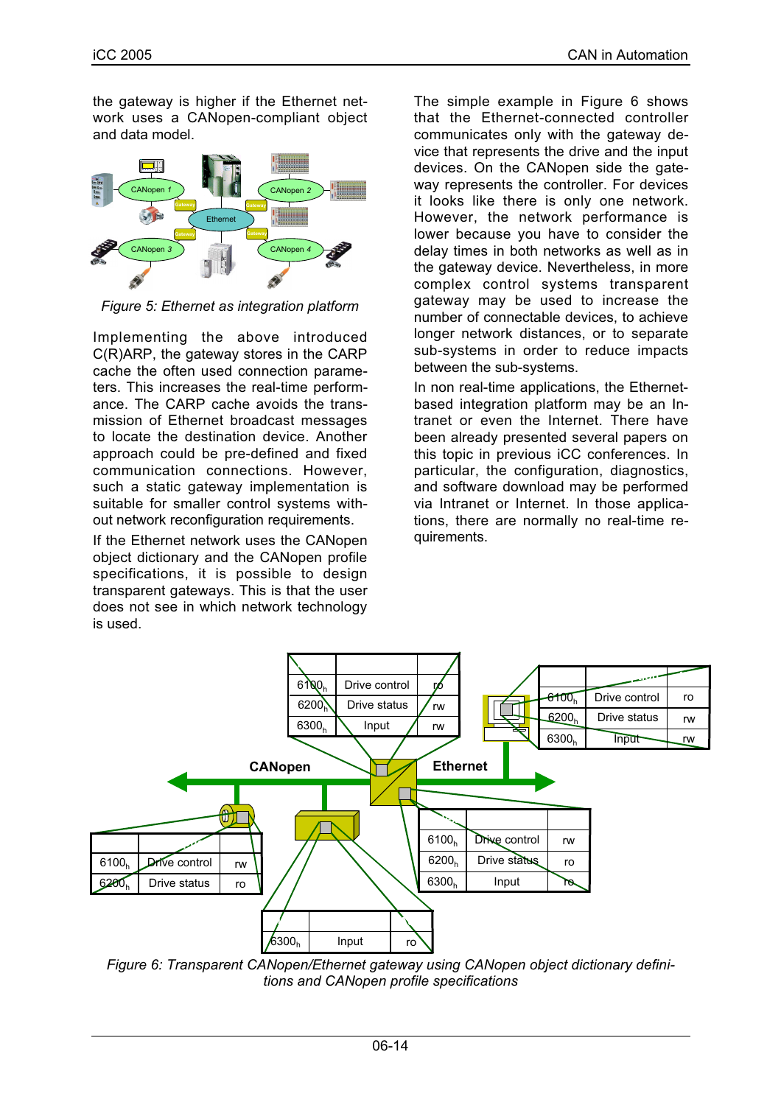the gateway is higher if the Ethernet network uses a CANopen-compliant object and data model.



*Figure 5: Ethernet as integration platform*

Implementing the above introduced C(R)ARP, the gateway stores in the CARP cache the often used connection parameters. This increases the real-time performance. The CARP cache avoids the transmission of Ethernet broadcast messages to locate the destination device. Another approach could be pre-defined and fixed communication connections. However, such a static gateway implementation is suitable for smaller control systems without network reconfiguration requirements.

If the Ethernet network uses the CANopen object dictionary and the CANopen profile specifications, it is possible to design transparent gateways. This is that the user does not see in which network technology is used.

The simple example in Figure 6 shows that the Ethernet-connected controller communicates only with the gateway device that represents the drive and the input devices. On the CANopen side the gateway represents the controller. For devices it looks like there is only one network. However, the network performance is lower because you have to consider the delay times in both networks as well as in the gateway device. Nevertheless, in more complex control systems transparent gateway may be used to increase the number of connectable devices, to achieve longer network distances, or to separate sub-systems in order to reduce impacts between the sub-systems.

In non real-time applications, the Ethernetbased integration platform may be an Intranet or even the Internet. There have been already presented several papers on this topic in previous iCC conferences. In particular, the configuration, diagnostics, and software download may be performed via Intranet or Internet. In those applications, there are normally no real-time requirements.



*Figure 6: Transparent CANopen/Ethernet gateway using CANopen object dictionary definitions and CANopen profile specifications*